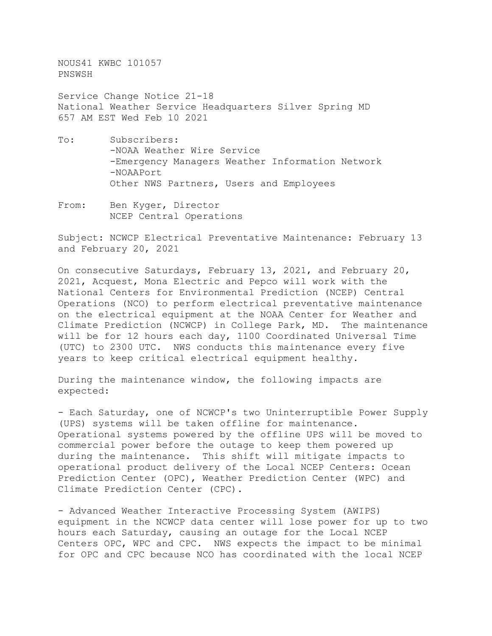NOUS41 KWBC 101057 PNSWSH

Service Change Notice 21-18 National Weather Service Headquarters Silver Spring MD 657 AM EST Wed Feb 10 2021

- To: Subscribers: -NOAA Weather Wire Service -Emergency Managers Weather Information Network -NOAAPort Other NWS Partners, Users and Employees
- From: Ben Kyger, Director NCEP Central Operations

Subject: NCWCP Electrical Preventative Maintenance: February 13 and February 20, 2021

On consecutive Saturdays, February 13, 2021, and February 20, 2021, Acquest, Mona Electric and Pepco will work with the National Centers for Environmental Prediction (NCEP) Central Operations (NCO) to perform electrical preventative maintenance on the electrical equipment at the NOAA Center for Weather and Climate Prediction (NCWCP) in College Park, MD. The maintenance will be for 12 hours each day, 1100 Coordinated Universal Time (UTC) to 2300 UTC. NWS conducts this maintenance every five years to keep critical electrical equipment healthy.

During the maintenance window, the following impacts are expected:

- Each Saturday, one of NCWCP's two Uninterruptible Power Supply (UPS) systems will be taken offline for maintenance. Operational systems powered by the offline UPS will be moved to commercial power before the outage to keep them powered up during the maintenance. This shift will mitigate impacts to operational product delivery of the Local NCEP Centers: Ocean Prediction Center (OPC), Weather Prediction Center (WPC) and Climate Prediction Center (CPC).

- Advanced Weather Interactive Processing System (AWIPS) equipment in the NCWCP data center will lose power for up to two hours each Saturday, causing an outage for the Local NCEP Centers OPC, WPC and CPC. NWS expects the impact to be minimal for OPC and CPC because NCO has coordinated with the local NCEP